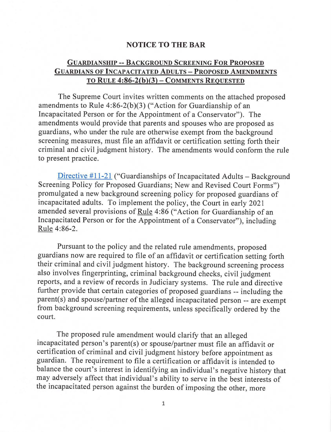## **NOTICE TO THE BAR**

## **GUARDIANSHIP** -- **BACKGROUND SCREENING FOR PROPOSED GUARDIANS OF INCAPACITATED ADULTS-PROPOSED AMENDMENTS TO R ULE 4:86-2(b)(3)- COMMENTS REQUESTED**

The Supreme Court invites written comments on the attached proposed amendments to Rule  $4:86-2(b)(3)$  ("Action for Guardianship of an Incapacitated Person or for the Appointment of a Conservator"). The amendments would provide that parents and spouses who are proposed as guardians, who under the rule are otherwise exempt from the background screening measures, must file an affidavit or certification setting forth their criminal and civil judgment history. The amendments would conform the rule to present practice.

Directive  $#11-21$  ("Guardianships of Incapacitated Adults - Background Screening Policy for Proposed Guardians; New and Revised Court Forms") promulgated a new background screening policy for proposed guardians of incapacitated adults. To implement the policy, the Court in early 2021 amended several provisions of Rule 4:86 ("Action for Guardianship of an Incapacitated Person or for the Appointment of a Conservator"), including Rule 4:86-2.

Pursuant to the policy and the related rule amendments, proposed guardians now are required to file of an affidavit or certification setting forth their criminal and civil judgment history. The background screening process also involves fingerprinting, criminal background checks, civil judgment reports, and a review of records in Judiciary systems. The rule and directive further provide that certain categories of proposed guardians -- including the parent(s) and spouse/partner of the alleged incapacitated person -- are exempt from background screening requirements, unless specifically ordered by the court.

The proposed rule amendment would clarify that an alleged incapacitated person's parent(s) or spouse/partner must file an affidavit or certification of criminal and civil judgment history before appointment as guardian. The requirement to file a certification or affidavit is intended to balance the court's interest in identifying an individual's negative history that may adversely affect that individual's ability to serve in the best interests of the incapacitated person against the burden of imposing the other, more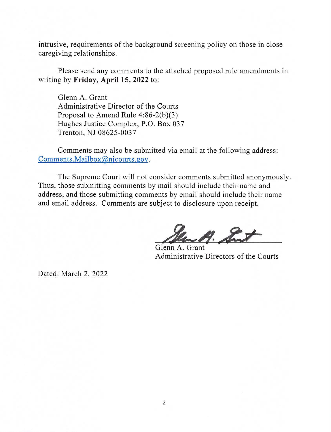intrusive, requirements of the background screening policy on those in close caregiving relationships.

Please send any comments to the attached proposed rule amendments in writing by **Friday, April 15, 2022** to:

Glenn A. Grant Administrative Director of the Courts Proposal to Amend Rule 4:86-2(b)(3) Hughes Justice Complex, P.O. Box 037 Trenton, NJ 08625-0037

Comments may also be submitted via email at the following address: [Comments.Mailbox@njcourts.gov](mailto:Comments.Mailbox@njcourts.gov).

The Supreme Court will not consider comments submitted anonymously. Thus, those submitting comments by mail should include their name and address, and those submitting comments by email should include their name and email address. Comments are subject to disclosure upon receipt.

A. Sut

Glenn A. Grant Administrative Directors of the Courts

Dated: March 2, 2022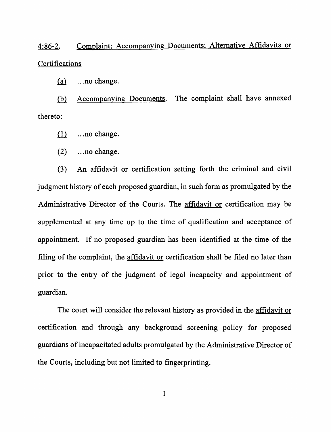4:86-2. Complaint; Accompanying Documents; Alternative Affidavits or **Certifications** 

 $(a)$  ... no change.

(b) Accompanying Documents. The complaint shall have annexed thereto:

- $(1)$  ... no change.
- $(2)$  ... no change.

(3) An affidavit or certification setting forth the criminal and civil judgment history of each proposed guardian, in such form as promulgated by the Administrative Director of the Courts. The affidavit or certification may be supplemented at any time up to the time of qualification and acceptance of appointment. If no proposed guardian has been identified at the time of the filing of the complaint, the affidavit or certification shall be filed no later than prior to the entry of the judgment of legal incapacity and appointment of guardian.

The court will consider the relevant history as provided in the affidavit or certification and through any background screening policy for proposed guardians of incapacitated adults promulgated by the Administrative Director of the Courts, including but not limited to fingerprinting.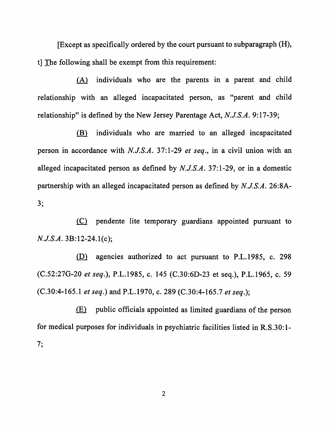[Except as specifically ordered by the court pursuant to subparagraph (H), t] The following shall be exempt from this requirement:

(A) individuals who are the parents in a parent and child relationship with an alleged incapacitated person, as "parent and child relationship" is defined by the New Jersey Parentage Act, *NJ.S.A.* 9:17-39;

(B) individuals who are married to an alleged incapacitated person in accordance with *N.J.S.A.* 37:1-29 *et seq.,* in a civil union with an alleged incapacitated person as defined by *N.J.S.A.* 37:1-29, or in a domestic partnership with an alleged incapacitated person as defined by *N.J.S.A.* 26:8A-  $3:$ 

~ pendente lite temporary guardians appointed pursuant to *N.J.S.A.* 3B:12-24.1(c);

(D) agencies authorized to act pursuant to P.L.1985, c. 298 (C.52:27G-20 *et seq.),* P.L.1985, c. 145 (C.30:6D-23 et seq.), P.L.1965, c. 59 (C.30:4-165.1 *et seq.)* and P.L.1970, c. 289 (C.30:4-165.7 *et seq.);* 

 $\langle E \rangle$  public officials appointed as limited guardians of the person for medical purposes for individuals in psychiatric facilities listed in R.S.30: 1-  $7;$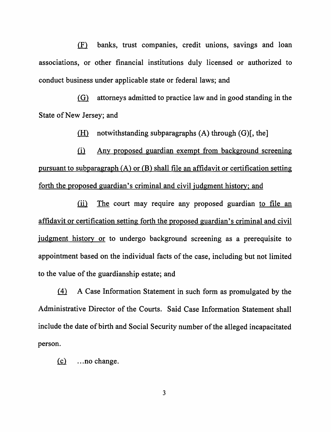(F) banks, trust companies, credit unions, savings and loan associations, or other financial institutions duly licensed or authorized to conduct business under applicable state or federal laws; and

 $i$ llarger admitted to practice law and in good standing in the State of New Jersey; and

(H) notwithstanding subparagraphs  $(A)$  through  $(G)$ [, the]

ill Any proposed guardian exempt from background screening pursuant to subparagraph (A) or (B) shall file an affidavit or certification setting forth the proposed guardian's criminal and civil judgment history; and

(ii) The court may require any proposed guardian to file an affidavit or certification setting forth the proposed guardian's criminal and civil judgment history or to undergo background screening as a prerequisite to appointment based on the individual facts of the case, including but not limited to the value of the guardianship estate; and

 $f(4)$  A Case Information Statement in such form as promulgated by the Administrative Director of the Courts. Said Case Information Statement shall include the date of birth and Social Security number of the alleged incapacitated person.

 $(c)$  ... no change.